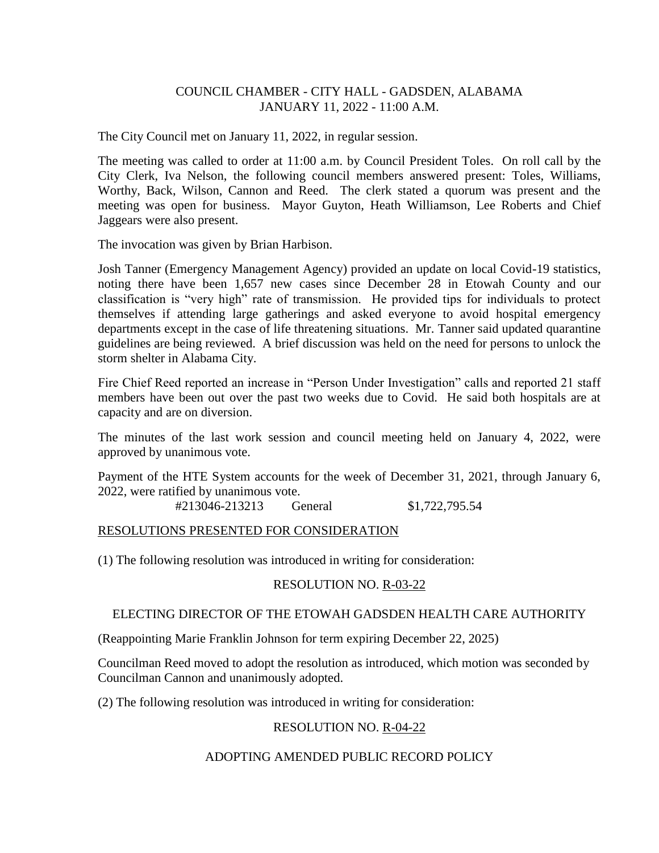# COUNCIL CHAMBER - CITY HALL - GADSDEN, ALABAMA JANUARY 11, 2022 - 11:00 A.M.

The City Council met on January 11, 2022, in regular session.

The meeting was called to order at 11:00 a.m. by Council President Toles. On roll call by the City Clerk, Iva Nelson, the following council members answered present: Toles, Williams, Worthy, Back, Wilson, Cannon and Reed. The clerk stated a quorum was present and the meeting was open for business. Mayor Guyton, Heath Williamson, Lee Roberts and Chief Jaggears were also present.

The invocation was given by Brian Harbison.

Josh Tanner (Emergency Management Agency) provided an update on local Covid-19 statistics, noting there have been 1,657 new cases since December 28 in Etowah County and our classification is "very high" rate of transmission. He provided tips for individuals to protect themselves if attending large gatherings and asked everyone to avoid hospital emergency departments except in the case of life threatening situations. Mr. Tanner said updated quarantine guidelines are being reviewed. A brief discussion was held on the need for persons to unlock the storm shelter in Alabama City.

Fire Chief Reed reported an increase in "Person Under Investigation" calls and reported 21 staff members have been out over the past two weeks due to Covid. He said both hospitals are at capacity and are on diversion.

The minutes of the last work session and council meeting held on January 4, 2022, were approved by unanimous vote.

Payment of the HTE System accounts for the week of December 31, 2021, through January 6, 2022, were ratified by unanimous vote.

#213046-213213 General \$1,722,795.54

## RESOLUTIONS PRESENTED FOR CONSIDERATION

(1) The following resolution was introduced in writing for consideration:

## RESOLUTION NO. R-03-22

## ELECTING DIRECTOR OF THE ETOWAH GADSDEN HEALTH CARE AUTHORITY

(Reappointing Marie Franklin Johnson for term expiring December 22, 2025)

Councilman Reed moved to adopt the resolution as introduced, which motion was seconded by Councilman Cannon and unanimously adopted.

(2) The following resolution was introduced in writing for consideration:

## RESOLUTION NO. R-04-22

## ADOPTING AMENDED PUBLIC RECORD POLICY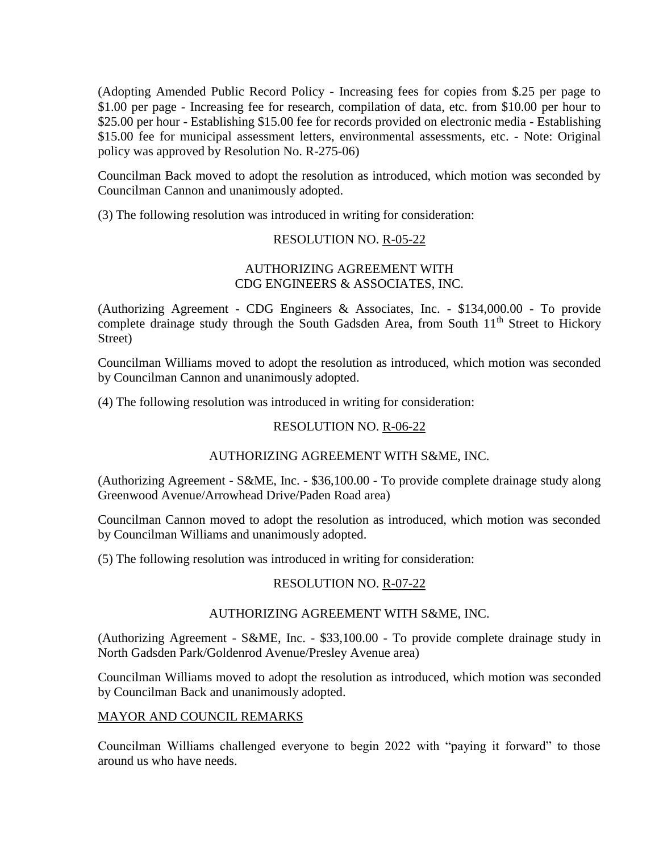(Adopting Amended Public Record Policy - Increasing fees for copies from \$.25 per page to \$1.00 per page - Increasing fee for research, compilation of data, etc. from \$10.00 per hour to \$25.00 per hour - Establishing \$15.00 fee for records provided on electronic media - Establishing \$15.00 fee for municipal assessment letters, environmental assessments, etc. - Note: Original policy was approved by Resolution No. R-275-06)

Councilman Back moved to adopt the resolution as introduced, which motion was seconded by Councilman Cannon and unanimously adopted.

(3) The following resolution was introduced in writing for consideration:

## RESOLUTION NO. R-05-22

# AUTHORIZING AGREEMENT WITH CDG ENGINEERS & ASSOCIATES, INC.

(Authorizing Agreement - CDG Engineers & Associates, Inc. - \$134,000.00 - To provide complete drainage study through the South Gadsden Area, from South 11<sup>th</sup> Street to Hickory Street)

Councilman Williams moved to adopt the resolution as introduced, which motion was seconded by Councilman Cannon and unanimously adopted.

(4) The following resolution was introduced in writing for consideration:

# RESOLUTION NO. R-06-22

## AUTHORIZING AGREEMENT WITH S&ME, INC.

(Authorizing Agreement - S&ME, Inc. - \$36,100.00 - To provide complete drainage study along Greenwood Avenue/Arrowhead Drive/Paden Road area)

Councilman Cannon moved to adopt the resolution as introduced, which motion was seconded by Councilman Williams and unanimously adopted.

(5) The following resolution was introduced in writing for consideration:

## RESOLUTION NO. R-07-22

## AUTHORIZING AGREEMENT WITH S&ME, INC.

(Authorizing Agreement - S&ME, Inc. - \$33,100.00 - To provide complete drainage study in North Gadsden Park/Goldenrod Avenue/Presley Avenue area)

Councilman Williams moved to adopt the resolution as introduced, which motion was seconded by Councilman Back and unanimously adopted.

## MAYOR AND COUNCIL REMARKS

Councilman Williams challenged everyone to begin 2022 with "paying it forward" to those around us who have needs.